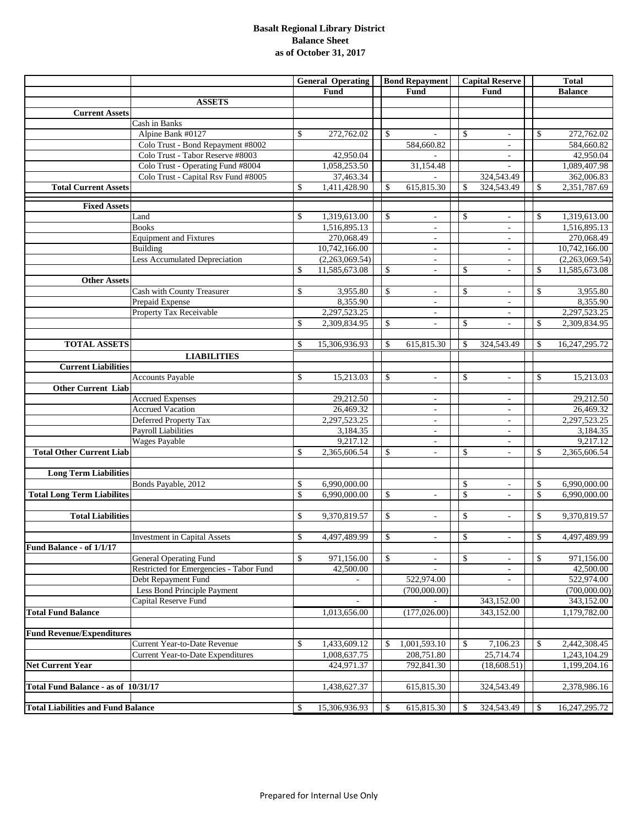#### **Basalt Regional Library District Balance Sheet as of October 31, 2017**

|                                           |                                          | <b>General Operating</b> |                              | <b>Bond Repayment</b>          | <b>Capital Reserve</b>         |               | <b>Total</b>               |
|-------------------------------------------|------------------------------------------|--------------------------|------------------------------|--------------------------------|--------------------------------|---------------|----------------------------|
|                                           |                                          |                          | Fund                         | Fund                           | Fund                           |               | <b>Balance</b>             |
|                                           | <b>ASSETS</b>                            |                          |                              |                                |                                |               |                            |
| <b>Current Assets</b>                     |                                          |                          |                              |                                |                                |               |                            |
|                                           | Cash in Banks                            |                          |                              |                                |                                |               |                            |
|                                           | Alpine Bank #0127                        | \$                       | 272,762.02                   | \$                             | \$                             | $\mathbb{S}$  | 272,762.02                 |
|                                           | Colo Trust - Bond Repayment #8002        |                          |                              | 584,660.82                     | $\overline{\phantom{a}}$       |               | 584,660.82                 |
|                                           | Colo Trust - Tabor Reserve #8003         |                          | 42,950.04                    |                                | $\overline{\phantom{a}}$       |               | 42,950.04                  |
|                                           | Colo Trust - Operating Fund #8004        |                          | 1,058,253.50                 | 31,154.48                      |                                |               | 1,089,407.98               |
|                                           | Colo Trust - Capital Rsv Fund #8005      |                          | 37,463.34                    |                                | 324,543.49                     |               | 362,006.83                 |
| <b>Total Current Assets</b>               |                                          | \$                       | 1,411,428.90                 | \$<br>615,815.30               | \$<br>324,543.49               | \$            | 2,351,787.69               |
|                                           |                                          |                          |                              |                                |                                |               |                            |
| <b>Fixed Assets</b>                       |                                          |                          |                              |                                |                                |               |                            |
|                                           | Land                                     | \$                       | 1,319,613.00<br>1,516,895.13 | \$<br>$\overline{\phantom{a}}$ | \$                             | $\mathcal{S}$ | 1,319,613.00               |
|                                           | <b>Books</b>                             |                          | 270,068.49                   | $\overline{\phantom{a}}$       | L.                             |               | 1,516,895.13               |
|                                           | <b>Equipment and Fixtures</b>            |                          |                              | $\overline{\phantom{a}}$       | ÷,                             |               | 270,068.49                 |
|                                           | Building                                 |                          | 10,742,166.00                | $\overline{\phantom{a}}$       | $\overline{\phantom{a}}$       |               | 10,742,166.00              |
|                                           | Less Accumulated Depreciation            |                          | (2,263,069.54)               | $\overline{\phantom{a}}$       | ÷,                             |               | (2,263,069.54)             |
|                                           |                                          | \$                       | 11,585,673.08                | \$<br>$\overline{\phantom{a}}$ | \$<br>÷,                       | \$            | 11,585,673.08              |
| <b>Other Assets</b>                       |                                          |                          |                              |                                |                                |               |                            |
|                                           | Cash with County Treasurer               | \$                       | 3,955.80<br>8,355.90         | \$<br>$\overline{\phantom{a}}$ | \$                             | $\mathbb{S}$  | 3,955.80<br>8,355.90       |
|                                           | Prepaid Expense                          |                          |                              | $\overline{\phantom{a}}$       | $\overline{\phantom{a}}$       |               |                            |
|                                           | Property Tax Receivable                  |                          | 2,297,523.25<br>2,309,834.95 | $\overline{\phantom{a}}$       | $\overline{\phantom{a}}$       |               | 2,297,523.25               |
|                                           |                                          | \$                       |                              | \$<br>$\overline{\phantom{a}}$ | \$                             | \$            | 2,309,834.95               |
|                                           |                                          |                          |                              | \$                             | \$                             | <sup>\$</sup> |                            |
| <b>TOTAL ASSETS</b>                       |                                          | \$                       | 15,306,936.93                | 615,815.30                     | 324,543.49                     |               | 16,247,295.72              |
|                                           | <b>LIABILITIES</b>                       |                          |                              |                                |                                |               |                            |
| <b>Current Liabilities</b>                |                                          |                          |                              |                                |                                |               |                            |
|                                           | <b>Accounts Payable</b>                  | \$                       | 15,213.03                    | \$<br>$\omega$                 | \$<br>$\overline{\phantom{a}}$ | $\mathbb{S}$  | 15,213.03                  |
| <b>Other Current Liab</b>                 |                                          |                          |                              |                                |                                |               |                            |
|                                           | <b>Accrued Expenses</b>                  |                          | 29,212.50                    | $\overline{\phantom{a}}$       | $\overline{\phantom{a}}$       |               | 29,212.50                  |
|                                           | <b>Accrued Vacation</b>                  |                          | 26,469.32                    | ÷.                             | ä,                             |               | 26,469.32                  |
|                                           | Deferred Property Tax                    |                          | 2,297,523.25                 | $\overline{\phantom{a}}$       | $\overline{\phantom{a}}$       |               | 2,297,523.25               |
|                                           | <b>Payroll Liabilities</b>               |                          | 3,184.35                     | $\overline{\phantom{a}}$       | $\overline{\phantom{a}}$       |               | 3,184.35                   |
|                                           | Wages Payable                            |                          | 9,217.12                     | ÷,                             | L,                             |               | 9,217.12                   |
| <b>Total Other Current Liab</b>           |                                          | \$                       | 2,365,606.54                 | \$<br>$\blacksquare$           | \$<br>$\overline{\phantom{a}}$ | $\mathbb{S}$  | 2,365,606.54               |
|                                           |                                          |                          |                              |                                |                                |               |                            |
| <b>Long Term Liabilities</b>              |                                          |                          |                              |                                |                                |               |                            |
|                                           | Bonds Payable, 2012                      | \$                       | 6.990.000.00                 |                                | \$<br>$\bar{a}$                | \$            | 6,990,000.00               |
| <b>Total Long Term Liabilites</b>         |                                          | \$                       | 6,990,000.00                 | \$<br>$\overline{\phantom{a}}$ | \$<br>L,                       | $\mathcal{S}$ | 6,990,000.00               |
|                                           |                                          |                          |                              |                                |                                |               |                            |
| <b>Total Liabilities</b>                  |                                          | \$                       | 9,370,819.57                 | \$<br>$\bar{a}$                | \$                             | $\mathbb{S}$  | 9,370,819.57               |
|                                           |                                          |                          |                              |                                |                                |               |                            |
|                                           | <b>Investment in Capital Assets</b>      | \$                       | 4,497,489.99                 | \$<br>$\overline{\phantom{a}}$ | \$<br>$\overline{\phantom{a}}$ | \$            | 4,497,489.99               |
| Fund Balance - of 1/1/17                  |                                          |                          |                              |                                |                                |               |                            |
|                                           | General Operating Fund                   | \$                       | 971,156.00                   | \$<br>$\overline{\phantom{a}}$ | \$<br>$\overline{\phantom{a}}$ | \$            | 971,156.00                 |
|                                           | Restricted for Emergencies - Tabor Fund  |                          | 42,500.00                    |                                | $\overline{a}$                 |               | 42,500.00                  |
|                                           | Debt Repayment Fund                      |                          |                              | 522,974.00                     |                                |               | 522,974.00<br>(700,000.00) |
|                                           | Less Bond Principle Payment              |                          |                              | (700,000.00)                   |                                |               |                            |
|                                           | Capital Reserve Fund                     |                          |                              |                                | 343,152.00                     |               | 343,152.00                 |
| <b>Total Fund Balance</b>                 |                                          |                          | 1,013,656.00                 | (177, 026.00)                  | 343,152.00                     |               | 1,179,782.00               |
|                                           |                                          |                          |                              |                                |                                |               |                            |
| <b>Fund Revenue/Expenditures</b>          |                                          |                          |                              |                                |                                |               |                            |
|                                           | Current Year-to-Date Revenue             | \$                       | 1,433,609.12                 | \$<br>1,001,593.10             | \$<br>7,106.23                 | \$            | 2,442,308.45               |
|                                           | <b>Current Year-to-Date Expenditures</b> |                          | 1,008,637.75                 | 208,751.80                     | 25,714.74                      |               | 1,243,104.29               |
| <b>Net Current Year</b>                   |                                          |                          | 424,971.37                   | 792,841.30                     | (18, 608.51)                   |               | 1,199,204.16               |
|                                           |                                          |                          |                              |                                |                                |               |                            |
| Total Fund Balance - as of 10/31/17       |                                          |                          | 1,438,627.37                 | 615,815.30                     | 324,543.49                     |               | 2,378,986.16               |
|                                           |                                          |                          |                              |                                |                                |               |                            |
| <b>Total Liabilities and Fund Balance</b> |                                          | \$                       | 15,306,936.93                | \$<br>615,815.30               | \$<br>324,543.49               | \$            | 16, 247, 295. 72           |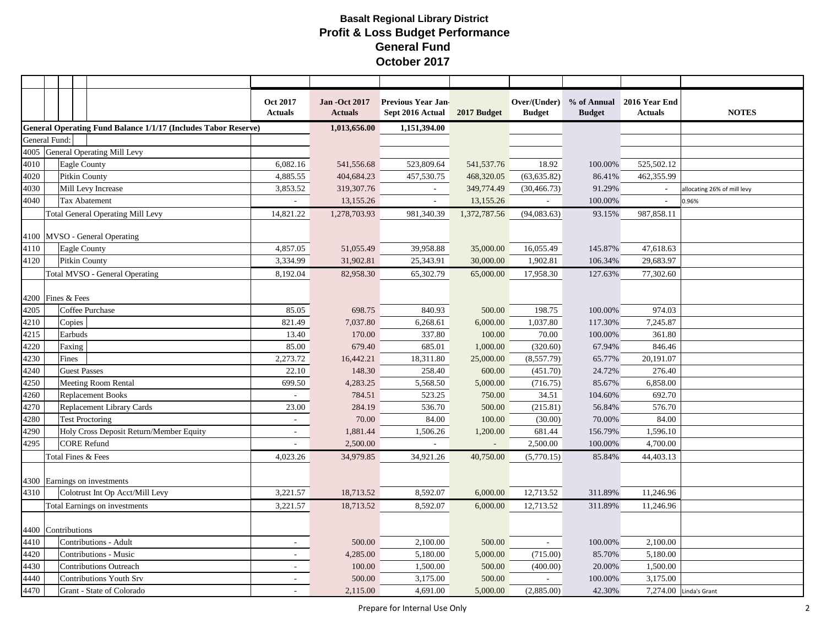|                    |                                  |                      |                                                                       | <b>Oct 2017</b><br><b>Actuals</b> | <b>Jan -Oct 2017</b><br><b>Actuals</b> | <b>Previous Year Jan-</b><br>Sept 2016 Actual | 2017 Budget  | Over/(Under)<br><b>Budget</b> | <b>Budget</b> | % of Annual 2016 Year End<br><b>Actuals</b> | <b>NOTES</b>                |
|--------------------|----------------------------------|----------------------|-----------------------------------------------------------------------|-----------------------------------|----------------------------------------|-----------------------------------------------|--------------|-------------------------------|---------------|---------------------------------------------|-----------------------------|
|                    |                                  |                      | <b>General Operating Fund Balance 1/1/17 (Includes Tabor Reserve)</b> |                                   | 1,013,656.00                           | 1,151,394.00                                  |              |                               |               |                                             |                             |
| General Fund:      |                                  |                      |                                                                       |                                   |                                        |                                               |              |                               |               |                                             |                             |
|                    | 4005 General Operating Mill Levy |                      |                                                                       |                                   |                                        |                                               |              |                               |               |                                             |                             |
| 4010               |                                  | Eagle County         |                                                                       | 6,082.16                          | 541,556.68                             | 523,809.64                                    | 541, 537. 76 | 18.92                         | 100.00%       | 525,502.12                                  |                             |
| 4020               |                                  |                      | Pitkin County                                                         | 4,885.55                          | 404,684.23                             | 457,530.75                                    | 468,320.05   | (63, 635.82)                  | 86.41%        | 462,355.99                                  |                             |
| 4030               |                                  |                      | Mill Levy Increase                                                    | 3,853.52                          | 319, 307. 76                           | $\sim$                                        | 349,774.49   | (30, 466.73)                  | 91.29%        |                                             | allocating 26% of mill levy |
| 4040               |                                  |                      | Tax Abatement                                                         | $\sim$                            | 13,155.26                              | $\sim$                                        | 13,155.26    | $\sim$                        | 100.00%       | $\overline{\phantom{a}}$                    | 0.96%                       |
|                    |                                  |                      | <b>Total General Operating Mill Levy</b>                              | 14,821.22                         | 1,278,703.93                           | 981,340.39                                    | 1,372,787.56 | (94,083.63)                   | 93.15%        | 987,858.11                                  |                             |
|                    |                                  |                      | 4100 MVSO - General Operating                                         |                                   |                                        |                                               |              |                               |               |                                             |                             |
| 4110               |                                  | Eagle County         |                                                                       | 4,857.05                          | 51,055.49                              | 39,958.88                                     | 35,000.00    | 16,055.49                     | 145.87%       | 47,618.63                                   |                             |
| 4120               |                                  | <b>Pitkin County</b> |                                                                       | 3,334.99                          | 31,902.81                              | 25,343.91                                     | 30,000.00    | 1,902.81                      | 106.34%       | 29,683.97                                   |                             |
|                    |                                  |                      | Total MVSO - General Operating                                        | 8,192.04                          | 82,958.30                              | 65,302.79                                     | 65,000.00    | 17,958.30                     | 127.63%       | 77,302.60                                   |                             |
| 4200 Fines & Fees  |                                  |                      |                                                                       |                                   |                                        |                                               |              |                               |               |                                             |                             |
| 4205               |                                  |                      | Coffee Purchase                                                       | 85.05                             | 698.75                                 | 840.93                                        | 500.00       | 198.75                        | 100.00%       | 974.03                                      |                             |
| 4210               |                                  | Copies               |                                                                       | 821.49                            | 7,037.80                               | 6,268.61                                      | 6,000.00     | 1,037.80                      | 117.30%       | 7,245.87                                    |                             |
| 4215               |                                  | Earbuds              |                                                                       | 13.40                             | 170.00                                 | 337.80                                        | 100.00       | 70.00                         | 100.00%       | 361.80                                      |                             |
| 4220               |                                  | Faxing               |                                                                       | 85.00                             | 679.40                                 | 685.01                                        | 1,000.00     | (320.60)                      | 67.94%        | 846.46                                      |                             |
| 4230               |                                  | Fines                |                                                                       | 2,273.72                          | 16,442.21                              | 18,311.80                                     | 25,000.00    | (8,557.79)                    | 65.77%        | 20,191.07                                   |                             |
| 4240               |                                  | <b>Guest Passes</b>  |                                                                       | 22.10                             | 148.30                                 | 258.40                                        | 600.00       | (451.70)                      | 24.72%        | 276.40                                      |                             |
| 4250               |                                  |                      | Meeting Room Rental                                                   | 699.50                            | 4,283.25                               | 5,568.50                                      | 5,000.00     | (716.75)                      | 85.67%        | 6,858.00                                    |                             |
| 4260               |                                  |                      | <b>Replacement Books</b>                                              |                                   | 784.51                                 | 523.25                                        | 750.00       | 34.51                         | 104.60%       | 692.70                                      |                             |
| 4270               |                                  |                      | Replacement Library Cards                                             | 23.00                             | 284.19                                 | 536.70                                        | 500.00       | (215.81)                      | 56.84%        | 576.70                                      |                             |
| 4280               |                                  |                      | <b>Test Proctoring</b>                                                | $\overline{\phantom{a}}$          | 70.00                                  | 84.00                                         | 100.00       | (30.00)                       | 70.00%        | 84.00                                       |                             |
| 4290               |                                  |                      | Holy Cross Deposit Return/Member Equity                               | $\sim$                            | 1,881.44                               | 1,506.26                                      | 1,200.00     | 681.44                        | 156.79%       | 1,596.10                                    |                             |
| 4295               |                                  |                      | <b>CORE Refund</b>                                                    |                                   | 2,500.00                               |                                               |              | 2,500.00                      | 100.00%       | 4,700.00                                    |                             |
|                    |                                  |                      | Total Fines & Fees                                                    | 4,023.26                          | 34,979.85                              | 34,921.26                                     | 40,750.00    | (5,770.15)                    | 85.84%        | 44,403.13                                   |                             |
|                    |                                  |                      | 4300 Earnings on investments                                          |                                   |                                        |                                               |              |                               |               |                                             |                             |
| 4310               |                                  |                      | Colotrust Int Op Acct/Mill Levy                                       | 3,221.57                          | 18,713.52                              | 8,592.07                                      | 6,000.00     | 12,713.52                     | 311.89%       | 11,246.96                                   |                             |
|                    |                                  |                      | Total Earnings on investments                                         | 3,221.57                          | 18,713.52                              | 8,592.07                                      | 6,000.00     | 12,713.52                     | 311.89%       | 11,246.96                                   |                             |
| 4400 Contributions |                                  |                      |                                                                       |                                   |                                        |                                               |              |                               |               |                                             |                             |
| 4410               |                                  |                      | Contributions - Adult                                                 | $\sim$                            | 500.00                                 | 2,100.00                                      | 500.00       | $\sim$                        | 100.00%       | 2,100.00                                    |                             |
| 4420               |                                  |                      | Contributions - Music                                                 | $\sim$                            | 4,285.00                               | 5,180.00                                      | 5,000.00     | (715.00)                      | 85.70%        | 5,180.00                                    |                             |
| 4430               | <b>Contributions Outreach</b>    |                      | $\sim$                                                                | 100.00                            | 1,500.00                               | 500.00                                        | (400.00)     | 20.00%                        | 1,500.00      |                                             |                             |
| 4440               | <b>Contributions Youth Srv</b>   |                      |                                                                       | $\overline{\phantom{a}}$          | 500.00                                 | 3,175.00                                      | 500.00       | $\sim$                        | 100.00%       | 3,175.00                                    |                             |
| 4470               |                                  |                      | Grant - State of Colorado                                             |                                   | 2,115.00                               | 4,691.00                                      | 5,000.00     | (2,885.00)                    | 42.30%        |                                             | 7,274.00 Linda's Grant      |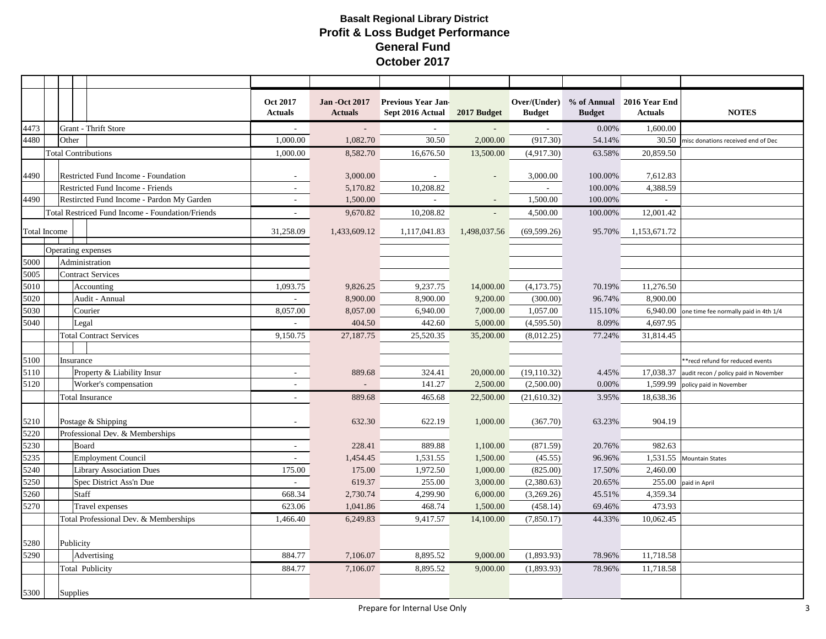|                     |                           |                          |                                                  | <b>Oct 2017</b><br><b>Actuals</b> | <b>Jan -Oct 2017</b><br><b>Actuals</b> | <b>Previous Year Jan-</b><br>Sept 2016 Actual | 2017 Budget              | <b>Budget</b> | <b>Budget</b> | Over/(Under) % of Annual 2016 Year End<br><b>Actuals</b> | <b>NOTES</b>                                       |
|---------------------|---------------------------|--------------------------|--------------------------------------------------|-----------------------------------|----------------------------------------|-----------------------------------------------|--------------------------|---------------|---------------|----------------------------------------------------------|----------------------------------------------------|
| 4473                |                           |                          | Grant - Thrift Store                             |                                   |                                        |                                               |                          |               | 0.00%         | 1,600.00                                                 |                                                    |
| 4480                |                           | Other                    |                                                  | 1,000.00                          | 1,082.70                               | 30.50                                         | 2,000.00                 | (917.30)      | 54.14%        | 30.50                                                    | misc donations received end of Dec                 |
|                     |                           |                          | <b>Total Contributions</b>                       | 1,000.00                          | 8,582.70                               | 16,676.50                                     | 13,500.00                | (4,917.30)    | 63.58%        | 20,859.50                                                |                                                    |
|                     |                           |                          |                                                  |                                   |                                        |                                               |                          |               |               |                                                          |                                                    |
| 4490                |                           |                          | <b>Restricted Fund Income - Foundation</b>       | $\sim$                            | 3,000.00                               | $\overline{\phantom{a}}$                      |                          | 3,000.00      | 100.00%       | 7,612.83                                                 |                                                    |
|                     |                           |                          | Restricted Fund Income - Friends                 | $\sim$                            | 5,170.82                               | 10,208.82                                     |                          | $\sim$        | 100.00%       | 4,388.59                                                 |                                                    |
| 4490                |                           |                          | Restircted Fund Income - Pardon My Garden        | $\overline{a}$                    | 1,500.00                               |                                               |                          | 1,500.00      | 100.00%       |                                                          |                                                    |
|                     |                           |                          | Total Restriced Fund Income - Foundation/Friends | $\overline{\phantom{a}}$          | 9,670.82                               | 10,208.82                                     | $\overline{\phantom{a}}$ | 4,500.00      | 100.00%       | 12,001.42                                                |                                                    |
| <b>Total Income</b> |                           |                          |                                                  | 31,258.09                         | 1,433,609.12                           | 1,117,041.83                                  | 1,498,037.56             | (69, 599.26)  | 95.70%        | 1,153,671.72                                             |                                                    |
|                     |                           |                          |                                                  |                                   |                                        |                                               |                          |               |               |                                                          |                                                    |
|                     |                           |                          | Operating expenses                               |                                   |                                        |                                               |                          |               |               |                                                          |                                                    |
| 5000                |                           |                          | Administration                                   |                                   |                                        |                                               |                          |               |               |                                                          |                                                    |
| 5005                |                           |                          | <b>Contract Services</b>                         |                                   |                                        |                                               |                          |               |               |                                                          |                                                    |
| 5010                |                           |                          | Accounting                                       | 1,093.75                          | 9,826.25                               | 9,237.75                                      | 14,000.00                | (4,173.75)    | 70.19%        | 11,276.50                                                |                                                    |
| 5020                |                           |                          | Audit - Annual                                   | $\mathcal{L}$                     | 8,900.00                               | 8,900.00                                      | 9,200.00                 | (300.00)      | 96.74%        | 8,900.00                                                 |                                                    |
| 5030                |                           |                          | Courier                                          | 8,057.00                          | 8,057.00                               | 6,940.00                                      | 7,000.00                 | 1,057.00      | 115.10%       |                                                          | $6,940.00$ one time fee normally paid in 4th $1/4$ |
| 5040                |                           | Legal                    |                                                  |                                   | 404.50                                 | 442.60                                        | 5,000.00                 | (4,595.50)    | 8.09%         | 4,697.95                                                 |                                                    |
|                     |                           |                          | <b>Total Contract Services</b>                   | 9,150.75                          | 27,187.75                              | 25,520.35                                     | 35,200.00                | (8,012.25)    | 77.24%        | 31,814.45                                                |                                                    |
|                     |                           |                          |                                                  |                                   |                                        |                                               |                          |               |               |                                                          |                                                    |
| 5100                |                           | Insurance                |                                                  |                                   |                                        |                                               |                          |               |               |                                                          | *recd refund for reduced events                    |
| 5110                |                           |                          | Property & Liability Insur                       | $\overline{\phantom{a}}$          | 889.68                                 | 324.41                                        | 20,000.00                | (19, 110.32)  | 4.45%         |                                                          | 17,038.37 audit recon / policy paid in November    |
| 5120                |                           |                          | Worker's compensation                            | ÷                                 |                                        | 141.27                                        | 2,500.00                 | (2,500.00)    | 0.00%         | 1,599.99                                                 | policy paid in November                            |
|                     |                           |                          | <b>Total Insurance</b>                           | $\overline{\phantom{a}}$          | 889.68                                 | 465.68                                        | 22,500.00                | (21, 610.32)  | 3.95%         | 18,638.36                                                |                                                    |
| 5210                |                           |                          | Postage & Shipping                               | $\sim$                            | 632.30                                 | 622.19                                        | 1,000.00                 | (367.70)      | 63.23%        | 904.19                                                   |                                                    |
| 5220                |                           |                          | Professional Dev. & Memberships                  |                                   |                                        |                                               |                          |               |               |                                                          |                                                    |
| 5230                |                           | Board                    |                                                  | $\sim$                            | 228.41                                 | 889.88                                        | 1,100.00                 | (871.59)      | 20.76%        | 982.63                                                   |                                                    |
| 5235                |                           |                          | Employment Council                               | $\sim$                            | 1,454.45                               | 1,531.55                                      | 1,500.00                 | (45.55)       | 96.96%        | 1,531.55                                                 | <b>Mountain States</b>                             |
| 5240                |                           |                          | <b>Library Association Dues</b>                  | 175.00                            | 175.00                                 | 1,972.50                                      | 1,000.00                 | (825.00)      | 17.50%        | 2,460.00                                                 |                                                    |
| 5250                |                           |                          | Spec District Ass'n Due                          | $\overline{\phantom{a}}$          | 619.37                                 | 255.00                                        | 3,000.00                 | (2,380.63)    | 20.65%        |                                                          | 255.00 paid in April                               |
| 5260                |                           | Staff                    |                                                  | 668.34                            | 2,730.74                               | 4,299.90                                      | 6,000.00                 | (3,269.26)    | 45.51%        | 4,359.34                                                 |                                                    |
| 5270                |                           |                          | Travel expenses                                  | 623.06                            | 1,041.86                               | 468.74                                        | 1,500.00                 | (458.14)      | 69.46%        | 473.93                                                   |                                                    |
|                     |                           |                          | Total Professional Dev. & Memberships            | 1,466.40                          | 6,249.83                               | 9,417.57                                      | 14,100.00                | (7,850.17)    | 44.33%        | 10,062.45                                                |                                                    |
|                     |                           |                          |                                                  |                                   |                                        |                                               |                          |               |               |                                                          |                                                    |
| 5280<br>5290        |                           | Publicity<br>Advertising |                                                  | 884.77                            | 7,106.07                               | 8,895.52                                      | 9,000.00                 | (1,893.93)    | 78.96%        | 11,718.58                                                |                                                    |
|                     | Total Publicity<br>884.77 |                          |                                                  |                                   |                                        |                                               |                          |               | 78.96%        |                                                          |                                                    |
|                     |                           |                          |                                                  | 7,106.07                          | 8,895.52                               | 9,000.00                                      | (1,893.93)               |               | 11,718.58     |                                                          |                                                    |
| 5300                |                           | Supplies                 |                                                  |                                   |                                        |                                               |                          |               |               |                                                          |                                                    |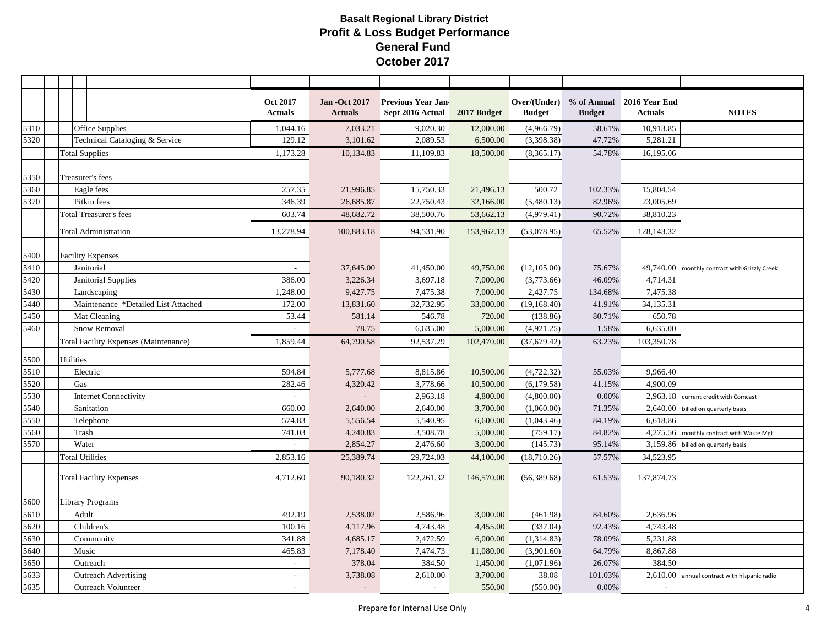|      |                                              | <b>Oct 2017</b><br><b>Actuals</b> | <b>Jan -Oct 2017</b><br><b>Actuals</b> | <b>Previous Year Jan-</b><br>Sept 2016 Actual | 2017 Budget | <b>Budget</b> | <b>Budget</b> | Over/(Under) % of Annual 2016 Year End<br><b>Actuals</b> | <b>NOTES</b>                                  |
|------|----------------------------------------------|-----------------------------------|----------------------------------------|-----------------------------------------------|-------------|---------------|---------------|----------------------------------------------------------|-----------------------------------------------|
| 5310 | <b>Office Supplies</b>                       | 1,044.16                          | 7,033.21                               | 9,020.30                                      | 12,000.00   | (4,966.79)    | 58.61%        | 10,913.85                                                |                                               |
| 5320 | Technical Cataloging & Service               | 129.12                            | 3,101.62                               | 2,089.53                                      | 6,500.00    | (3,398.38)    | 47.72%        | 5,281.21                                                 |                                               |
|      | <b>Total Supplies</b>                        | 1,173.28                          | 10,134.83                              | 11,109.83                                     | 18,500.00   | (8,365.17)    | 54.78%        | 16,195.06                                                |                                               |
|      |                                              |                                   |                                        |                                               |             |               |               |                                                          |                                               |
| 5350 | Treasurer's fees                             |                                   |                                        |                                               |             |               |               |                                                          |                                               |
| 5360 | Eagle fees                                   | 257.35                            | 21,996.85                              | 15,750.33                                     | 21,496.13   | 500.72        | 102.33%       | 15,804.54                                                |                                               |
| 5370 | Pitkin fees                                  | 346.39                            | 26,685.87                              | 22,750.43                                     | 32,166.00   | (5,480.13)    | 82.96%        | 23,005.69                                                |                                               |
|      | <b>Total Treasurer's fees</b>                | 603.74                            | 48,682.72                              | 38,500.76                                     | 53,662.13   | (4,979.41)    | 90.72%        | 38,810.23                                                |                                               |
|      | <b>Total Administration</b>                  | 13,278.94                         | 100,883.18                             | 94,531.90                                     | 153,962.13  | (53,078.95)   | 65.52%        | 128,143.32                                               |                                               |
| 5400 | <b>Facility Expenses</b>                     |                                   |                                        |                                               |             |               |               |                                                          |                                               |
| 5410 | Janitorial                                   | $\sim$                            | 37,645.00                              | 41,450.00                                     | 49,750.00   | (12, 105.00)  | 75.67%        |                                                          | 49,740.00 monthly contract with Grizzly Creek |
| 5420 | Janitorial Supplies                          | 386.00                            | 3,226.34                               | 3,697.18                                      | 7,000.00    | (3,773.66)    | 46.09%        | 4,714.31                                                 |                                               |
| 5430 | Landscaping                                  | 1,248.00                          | 9,427.75                               | 7,475.38                                      | 7,000.00    | 2,427.75      | 134.68%       | 7,475.38                                                 |                                               |
| 5440 | Maintenance *Detailed List Attached          | 172.00                            | 13,831.60                              | 32,732.95                                     | 33,000.00   | (19, 168.40)  | 41.91%        | 34,135.31                                                |                                               |
| 5450 | Mat Cleaning                                 | 53.44                             | 581.14                                 | 546.78                                        | 720.00      | (138.86)      | 80.71%        | 650.78                                                   |                                               |
| 5460 | <b>Snow Removal</b>                          | $\sim$                            | 78.75                                  | 6,635.00                                      | 5,000.00    | (4,921.25)    | 1.58%         | 6,635.00                                                 |                                               |
|      | <b>Total Facility Expenses (Maintenance)</b> | 1,859.44                          | 64,790.58                              | 92,537.29                                     | 102,470.00  | (37,679.42)   | 63.23%        | 103,350.78                                               |                                               |
| 5500 | <b>Utilities</b>                             |                                   |                                        |                                               |             |               |               |                                                          |                                               |
| 5510 | Electric                                     | 594.84                            | 5,777.68                               | 8,815.86                                      | 10,500.00   | (4, 722.32)   | 55.03%        | 9,966.40                                                 |                                               |
| 5520 | Gas                                          | 282.46                            | 4,320.42                               | 3,778.66                                      | 10,500.00   | (6,179.58)    | 41.15%        | 4,900.09                                                 |                                               |
| 5530 | <b>Internet Connectivity</b>                 | $\overline{a}$                    |                                        | 2,963.18                                      | 4,800.00    | (4,800.00)    | 0.00%         |                                                          | 2,963.18 current credit with Comcast          |
| 5540 | Sanitation                                   | 660.00                            | 2,640.00                               | 2,640.00                                      | 3,700.00    | (1,060.00)    | 71.35%        |                                                          | $2,640.00$ billed on quarterly basis          |
| 5550 | Telephone                                    | 574.83                            | 5,556.54                               | 5,540.95                                      | 6,600.00    | (1,043.46)    | 84.19%        | 6,618.86                                                 |                                               |
| 5560 | Trash                                        | 741.03                            | 4,240.83                               | 3,508.78                                      | 5,000.00    | (759.17)      | 84.82%        |                                                          | 4,275.56 monthly contract with Waste Mgt      |
| 5570 | Water                                        |                                   | 2,854.27                               | 2,476.60                                      | 3,000.00    | (145.73)      | 95.14%        | 3,159.86                                                 | billed on quarterly basis                     |
|      | <b>Total Utilities</b>                       | 2,853.16                          | 25,389.74                              | 29,724.03                                     | 44,100.00   | (18,710.26)   | 57.57%        | 34,523.95                                                |                                               |
|      | <b>Total Facility Expenses</b>               | 4,712.60                          | 90,180.32                              | 122,261.32                                    | 146,570.00  | (56,389.68)   | 61.53%        | 137,874.73                                               |                                               |
| 5600 | Library Programs                             |                                   |                                        |                                               |             |               |               |                                                          |                                               |
| 5610 | Adult                                        | 492.19                            | 2,538.02                               | 2,586.96                                      | 3,000.00    | (461.98)      | 84.60%        | 2,636.96                                                 |                                               |
| 5620 | Children's                                   | 100.16                            | 4,117.96                               | 4,743.48                                      | 4,455.00    | (337.04)      | 92.43%        | 4,743.48                                                 |                                               |
| 5630 | Community                                    | 341.88                            | 4,685.17                               | 2,472.59                                      | 6,000.00    | (1,314.83)    | 78.09%        | 5,231.88                                                 |                                               |
| 5640 | Music                                        | 465.83                            | 7,178.40                               | 7,474.73                                      | 11,080.00   | (3,901.60)    | 64.79%        | 8,867.88                                                 |                                               |
| 5650 | Outreach                                     | $\sim$                            | 378.04                                 | 384.50                                        | 1,450.00    | (1,071.96)    | 26.07%        | 384.50                                                   |                                               |
| 5633 | <b>Outreach Advertising</b>                  | $\mathbf{r}$                      | 3,738.08                               | 2,610.00                                      | 3,700.00    | 38.08         | 101.03%       |                                                          | 2,610.00 annual contract with hispanic radio  |
| 5635 | <b>Outreach Volunteer</b>                    | $\sim$                            | $\sim$                                 | $\sim$                                        | 550.00      | (550.00)      | 0.00%         | $\sim$                                                   |                                               |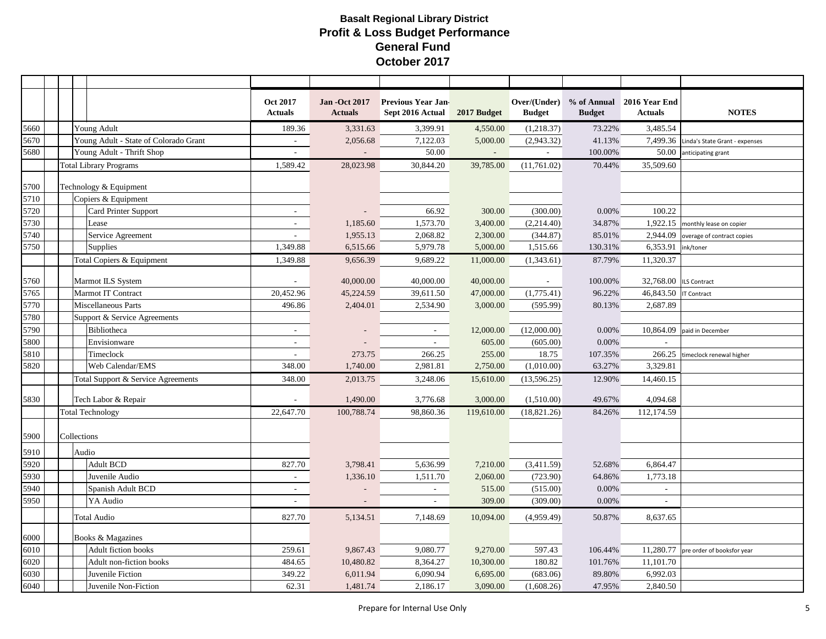|      |                               |             |                                       | Oct 2017<br><b>Actuals</b> | <b>Jan -Oct 2017</b><br><b>Actuals</b> | <b>Previous Year Jan-</b><br>Sept 2016 Actual | 2017 Budget                 | Over/(Under)<br><b>Budget</b> | % of Annual<br><b>Budget</b> | 2016 Year End<br><b>Actuals</b> | <b>NOTES</b>                            |
|------|-------------------------------|-------------|---------------------------------------|----------------------------|----------------------------------------|-----------------------------------------------|-----------------------------|-------------------------------|------------------------------|---------------------------------|-----------------------------------------|
| 5660 |                               |             | Young Adult                           | 189.36                     | 3,331.63                               | 3,399.91                                      | 4,550.00                    | (1,218.37)                    | 73.22%                       | 3,485.54                        |                                         |
| 5670 |                               |             | Young Adult - State of Colorado Grant | $\overline{\phantom{a}}$   | 2,056.68                               | 7,122.03                                      | 5,000.00                    | (2,943.32)                    | 41.13%                       |                                 | 7,499.36 Linda's State Grant - expenses |
| 5680 |                               |             | Young Adult - Thrift Shop             | $\overline{a}$             |                                        | 50.00                                         | $\mathcal{L}_{\mathcal{A}}$ |                               | 100.00%                      | 50.00                           | anticipating grant                      |
|      | <b>Total Library Programs</b> |             |                                       | 1,589.42                   | 28,023.98                              | 30,844.20                                     | 39,785.00                   | (11,761.02)                   | 70.44%                       | 35,509.60                       |                                         |
|      |                               |             |                                       |                            |                                        |                                               |                             |                               |                              |                                 |                                         |
| 5700 |                               |             | Technology & Equipment                |                            |                                        |                                               |                             |                               |                              |                                 |                                         |
| 5710 |                               |             | Copiers & Equipment                   |                            |                                        |                                               |                             |                               |                              |                                 |                                         |
| 5720 |                               |             | <b>Card Printer Support</b>           |                            |                                        | 66.92                                         | 300.00                      | (300.00)                      | 0.00%                        | 100.22                          |                                         |
| 5730 |                               |             | Lease                                 | $\sim$                     | 1,185.60                               | 1,573.70                                      | 3,400.00                    | (2,214.40)                    | 34.87%                       |                                 | 1,922.15 monthly lease on copier        |
| 5740 |                               |             | Service Agreement                     | ٠                          | 1,955.13                               | 2,068.82                                      | 2,300.00                    | (344.87)                      | 85.01%                       | 2,944.09                        | overage of contract copies              |
| 5750 |                               |             | <b>Supplies</b>                       | 1,349.88                   | 6,515.66                               | 5,979.78                                      | 5,000.00                    | 1,515.66                      | 130.31%                      | 6,353.91                        | ink/toner                               |
|      |                               |             | Total Copiers & Equipment             | 1,349.88                   | 9,656.39                               | 9,689.22                                      | 11,000.00                   | (1,343.61)                    | 87.79%                       | 11,320.37                       |                                         |
| 5760 |                               |             | Marmot ILS System                     | $\blacksquare$             | 40,000.00                              | 40,000.00                                     | 40,000.00                   | $\sim$                        | 100.00%                      | 32,768.00   ILS Contract        |                                         |
| 5765 |                               |             | Marmot IT Contract                    | 20,452.96                  | 45,224.59                              | 39,611.50                                     | 47,000.00                   | (1,775.41)                    | 96.22%                       | 46,843.50                       | <b>IT Contract</b>                      |
| 5770 |                               |             | Miscellaneous Parts                   | 496.86                     | 2,404.01                               | 2,534.90                                      | 3,000.00                    | (595.99)                      | 80.13%                       | 2,687.89                        |                                         |
| 5780 |                               |             | Support & Service Agreements          |                            |                                        |                                               |                             |                               |                              |                                 |                                         |
| 5790 |                               |             | Bibliotheca                           | $\blacksquare$             |                                        |                                               | 12,000.00                   | (12,000.00)                   | $0.00\%$                     | 10,864.09                       | paid in December                        |
| 5800 |                               |             | Envisionware                          | $\sim$                     |                                        | $\sim$                                        | 605.00                      | (605.00)                      | 0.00%                        |                                 |                                         |
| 5810 |                               |             | Timeclock                             | ÷,                         | 273.75                                 | 266.25                                        | 255.00                      | 18.75                         | 107.35%                      | 266.25                          | timeclock renewal higher                |
| 5820 |                               |             | Web Calendar/EMS                      | 348.00                     | 1,740.00                               | 2,981.81                                      | 2,750.00                    | (1,010.00)                    | 63.27%                       | 3,329.81                        |                                         |
|      |                               |             | Total Support & Service Agreements    | 348.00                     | 2,013.75                               | 3,248.06                                      | 15,610.00                   | (13, 596.25)                  | 12.90%                       | 14,460.15                       |                                         |
| 5830 |                               |             | Tech Labor & Repair                   |                            | 1,490.00                               | 3,776.68                                      | 3,000.00                    | (1,510.00)                    | 49.67%                       | 4,094.68                        |                                         |
|      |                               |             | <b>Total Technology</b>               | 22,647.70                  | 100,788.74                             | 98,860.36                                     | 119,610.00                  | (18,821.26)                   | 84.26%                       | 112,174.59                      |                                         |
| 5900 |                               | Collections |                                       |                            |                                        |                                               |                             |                               |                              |                                 |                                         |
| 5910 |                               | Audio       |                                       |                            |                                        |                                               |                             |                               |                              |                                 |                                         |
| 5920 |                               |             | <b>Adult BCD</b>                      | 827.70                     | 3,798.41                               | 5,636.99                                      | 7,210.00                    | (3,411.59)                    | 52.68%                       | 6,864.47                        |                                         |
| 5930 |                               |             | Juvenile Audio                        | $\overline{\phantom{a}}$   | 1,336.10                               | 1,511.70                                      | 2,060.00                    | (723.90)                      | 64.86%                       | 1,773.18                        |                                         |
| 5940 |                               |             | Spanish Adult BCD                     | $\sim$                     |                                        |                                               | 515.00                      | (515.00)                      | 0.00%                        |                                 |                                         |
| 5950 |                               |             | YA Audio                              | $\overline{\phantom{a}}$   | $\overline{\phantom{a}}$               | $\overline{\phantom{a}}$                      | 309.00                      | (309.00)                      | 0.00%                        | $\overline{\phantom{a}}$        |                                         |
|      | <b>Total Audio</b>            |             |                                       | 827.70                     | 5,134.51                               | 7,148.69                                      | 10,094.00                   | (4,959.49)                    | 50.87%                       | 8,637.65                        |                                         |
| 6000 | Books & Magazines             |             |                                       |                            |                                        |                                               |                             |                               |                              |                                 |                                         |
| 6010 |                               |             | Adult fiction books                   | 259.61                     | 9,867.43                               | 9,080.77                                      | 9,270.00                    | 597.43                        | 106.44%                      |                                 | 11,280.77 pre order of booksfor year    |
| 6020 |                               |             | Adult non-fiction books               | 484.65                     | 10,480.82                              | 8,364.27                                      | 10,300.00                   | 180.82                        | 101.76%                      | 11,101.70                       |                                         |
| 6030 |                               |             | Juvenile Fiction                      | 349.22                     | 6,011.94                               | 6,090.94                                      | 6,695.00                    | (683.06)                      | 89.80%                       | 6,992.03                        |                                         |
| 6040 | Juvenile Non-Fiction          |             |                                       | 62.31                      | 1,481.74                               | 2,186.17                                      | 3,090.00                    | (1,608.26)                    | 47.95%                       | 2,840.50                        |                                         |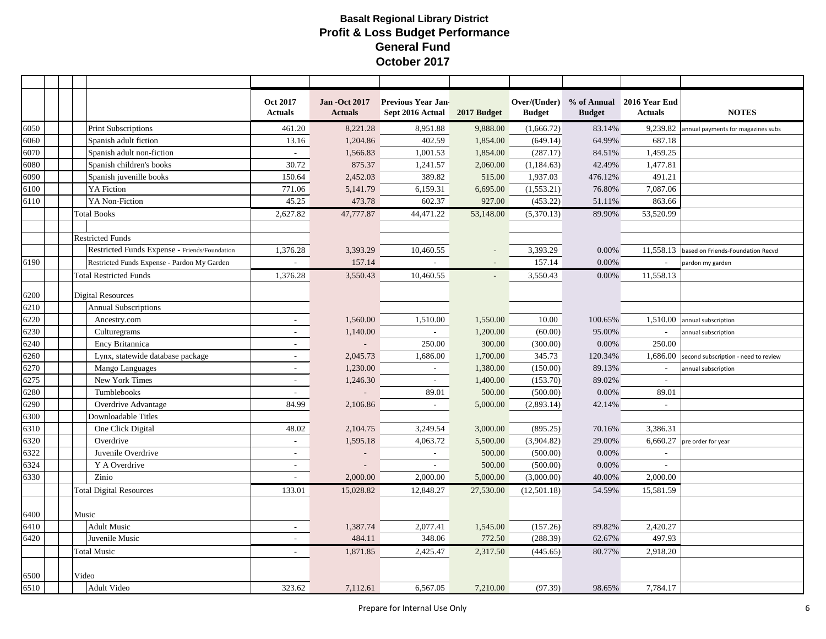|      |                                               | <b>Oct 2017</b><br><b>Actuals</b> | <b>Jan -Oct 2017</b><br><b>Actuals</b> | <b>Previous Year Jan-</b><br>Sept 2016 Actual | 2017 Budget | <b>Budget</b> | <b>Budget</b> | Over/(Under) % of Annual 2016 Year End<br><b>Actuals</b> | <b>NOTES</b>                         |
|------|-----------------------------------------------|-----------------------------------|----------------------------------------|-----------------------------------------------|-------------|---------------|---------------|----------------------------------------------------------|--------------------------------------|
| 6050 | <b>Print Subscriptions</b>                    | 461.20                            | 8,221.28                               | 8,951.88                                      | 9,888.00    | (1,666.72)    | 83.14%        | 9,239.82                                                 | annual payments for magazines subs   |
| 6060 | Spanish adult fiction                         | 13.16                             | 1,204.86                               | 402.59                                        | 1,854.00    | (649.14)      | 64.99%        | 687.18                                                   |                                      |
| 6070 | Spanish adult non-fiction                     | $\omega$                          | 1,566.83                               | 1,001.53                                      | 1,854.00    | (287.17)      | 84.51%        | 1,459.25                                                 |                                      |
| 6080 | Spanish children's books                      | 30.72                             | 875.37                                 | 1,241.57                                      | 2,060.00    | (1, 184.63)   | 42.49%        | 1,477.81                                                 |                                      |
| 6090 | Spanish juvenille books                       | 150.64                            | 2,452.03                               | 389.82                                        | 515.00      | 1,937.03      | 476.12%       | 491.21                                                   |                                      |
| 6100 | YA Fiction                                    | 771.06                            | 5,141.79                               | 6,159.31                                      | 6,695.00    | (1,553.21)    | 76.80%        | 7,087.06                                                 |                                      |
| 6110 | YA Non-Fiction                                | 45.25                             | 473.78                                 | 602.37                                        | 927.00      | (453.22)      | 51.11%        | 863.66                                                   |                                      |
|      | <b>Total Books</b>                            | 2,627.82                          | 47,777.87                              | 44,471.22                                     | 53,148.00   | (5,370.13)    | 89.90%        | 53,520.99                                                |                                      |
|      |                                               |                                   |                                        |                                               |             |               |               |                                                          |                                      |
|      | <b>Restricted Funds</b>                       |                                   |                                        |                                               |             |               |               |                                                          |                                      |
|      | Restricted Funds Expense - Friends/Foundation | 1,376.28                          | 3,393.29                               | 10,460.55                                     |             | 3,393.29      | 0.00%         | 11,558.13                                                | based on Friends-Foundation Recvd    |
| 6190 | Restricted Funds Expense - Pardon My Garden   |                                   | 157.14                                 |                                               |             | 157.14        | 0.00%         | $\overline{\phantom{a}}$                                 | pardon my garden                     |
|      | <b>Total Restricted Funds</b>                 | 1,376.28                          | 3,550.43                               | 10,460.55                                     |             | 3,550.43      | 0.00%         | 11,558.13                                                |                                      |
| 6200 | Digital Resources                             |                                   |                                        |                                               |             |               |               |                                                          |                                      |
| 6210 | <b>Annual Subscriptions</b>                   |                                   |                                        |                                               |             |               |               |                                                          |                                      |
| 6220 | Ancestry.com                                  | $\sim$                            | 1,560.00                               | 1,510.00                                      | 1,550.00    | 10.00         | 100.65%       | 1,510.00                                                 | annual subscription                  |
| 6230 | Culturegrams                                  | $\sim$                            | 1,140.00                               | $\sim$                                        | 1,200.00    | (60.00)       | 95.00%        | $\overline{\phantom{a}}$                                 | annual subscription                  |
| 6240 | Ency Britannica                               | $\sim$                            |                                        | 250.00                                        | 300.00      | (300.00)      | 0.00%         | 250.00                                                   |                                      |
| 6260 | Lynx, statewide database package              | $\sim$                            | 2,045.73                               | 1,686.00                                      | 1,700.00    | 345.73        | 120.34%       | 1,686.00                                                 | second subscription - need to review |
| 6270 | Mango Languages                               | $\sim$                            | 1,230.00                               |                                               | 1,380.00    | (150.00)      | 89.13%        |                                                          | annual subscription                  |
| 6275 | New York Times                                | $\overline{a}$                    | 1,246.30                               |                                               | 1,400.00    | (153.70)      | 89.02%        |                                                          |                                      |
| 6280 | Tumblebooks                                   | $\overline{a}$                    |                                        | 89.01                                         | 500.00      | (500.00)      | 0.00%         | 89.01                                                    |                                      |
| 6290 | Overdrive Advantage                           | 84.99                             | 2,106.86                               | $\sim$                                        | 5,000.00    | (2,893.14)    | 42.14%        | $\overline{\phantom{a}}$                                 |                                      |
| 6300 | Downloadable Titles                           |                                   |                                        |                                               |             |               |               |                                                          |                                      |
| 6310 | One Click Digital                             | 48.02                             | 2,104.75                               | 3,249.54                                      | 3,000.00    | (895.25)      | 70.16%        | 3,386.31                                                 |                                      |
| 6320 | Overdrive                                     | $\sim$                            | 1,595.18                               | 4,063.72                                      | 5,500.00    | (3,904.82)    | 29.00%        | 6,660.27                                                 | pre order for year                   |
| 6322 | Juvenile Overdrive                            | $\sim$                            |                                        | $\sim$                                        | 500.00      | (500.00)      | 0.00%         | $\sim$                                                   |                                      |
| 6324 | Y A Overdrive                                 | $\overline{a}$                    |                                        | $\sim$                                        | 500.00      | (500.00)      | 0.00%         | $\sim$                                                   |                                      |
| 6330 | Zinio                                         |                                   | 2,000.00                               | 2,000.00                                      | 5,000.00    | (3,000.00)    | 40.00%        | 2,000.00                                                 |                                      |
|      | <b>Total Digital Resources</b>                | 133.01                            | 15,028.82                              | 12,848.27                                     | 27,530.00   | (12,501.18)   | 54.59%        | 15,581.59                                                |                                      |
| 6400 | Music                                         |                                   |                                        |                                               |             |               |               |                                                          |                                      |
| 6410 | <b>Adult Music</b>                            | $\sim$                            | 1,387.74                               | 2,077.41                                      | 1,545.00    | (157.26)      | 89.82%        | 2,420.27                                                 |                                      |
| 6420 | Juvenile Music                                | $\overline{\phantom{a}}$          | 484.11                                 | 348.06                                        | 772.50      | (288.39)      | 62.67%        | 497.93                                                   |                                      |
|      | <b>Total Music</b>                            | $\sim$                            | 1,871.85                               | 2,425.47                                      | 2,317.50    | (445.65)      | 80.77%        | 2,918.20                                                 |                                      |
| 6500 | Video                                         |                                   |                                        |                                               |             |               |               |                                                          |                                      |
| 6510 | Adult Video                                   | 323.62                            | 7,112.61                               | 6,567.05                                      | 7,210.00    | (97.39)       | 98.65%        | 7,784.17                                                 |                                      |
|      |                                               |                                   |                                        |                                               |             |               |               |                                                          |                                      |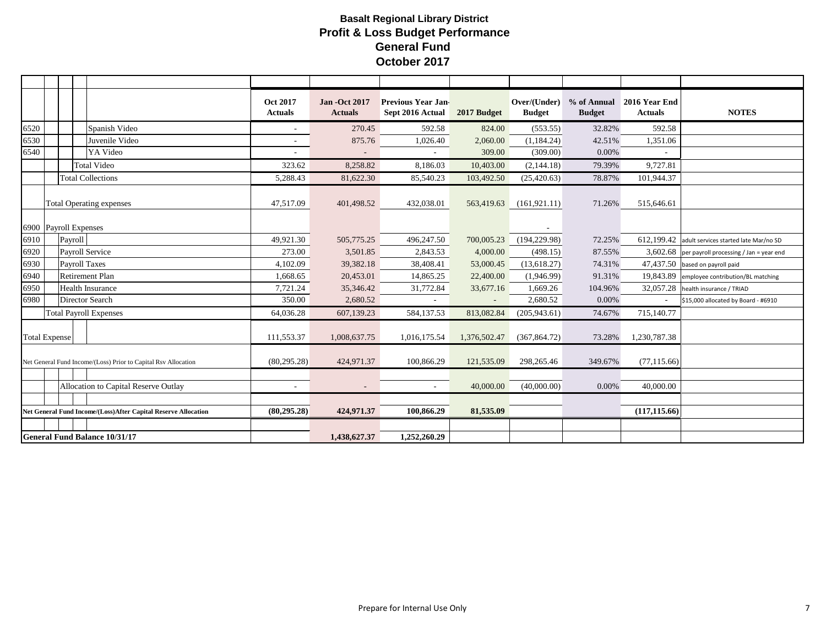|      |                               |                                                                | <b>Oct 2017</b><br><b>Actuals</b> | <b>Jan -Oct 2017</b><br><b>Actuals</b> | <b>Previous Year Jan-</b><br>Sept 2016 Actual | 2017 Budget  | Over/(Under)<br><b>Budget</b> | <b>Budget</b> | % of Annual 2016 Year End<br><b>Actuals</b> | <b>NOTES</b>                                       |
|------|-------------------------------|----------------------------------------------------------------|-----------------------------------|----------------------------------------|-----------------------------------------------|--------------|-------------------------------|---------------|---------------------------------------------|----------------------------------------------------|
| 6520 |                               | Spanish Video                                                  | $\sim$                            | 270.45                                 | 592.58                                        | 824.00       | (553.55)                      | 32.82%        | 592.58                                      |                                                    |
| 6530 |                               | Juvenile Video                                                 | $\sim$                            | 875.76                                 | 1,026.40                                      | 2,060.00     | (1, 184.24)                   | 42.51%        | 1,351.06                                    |                                                    |
| 6540 |                               | YA Video                                                       |                                   |                                        |                                               | 309.00       | (309.00)                      | 0.00%         |                                             |                                                    |
|      |                               | <b>Total Video</b>                                             | 323.62                            | 8,258.82                               | 8,186.03                                      | 10,403.00    | (2,144.18)                    | 79.39%        | 9,727.81                                    |                                                    |
|      |                               | <b>Total Collections</b>                                       | 5,288.43                          | 81,622.30                              | 85,540.23                                     | 103,492.50   | (25, 420.63)                  | 78.87%        | 101,944.37                                  |                                                    |
|      |                               | <b>Total Operating expenses</b>                                | 47,517.09                         | 401,498.52                             | 432,038.01                                    | 563,419.63   | (161, 921.11)                 | 71.26%        | 515,646.61                                  |                                                    |
|      | 6900 Payroll Expenses         |                                                                |                                   |                                        |                                               |              |                               |               |                                             |                                                    |
| 6910 | Payroll                       |                                                                | 49,921.30                         | 505,775.25                             | 496,247.50                                    | 700,005.23   | (194, 229.98)                 | 72.25%        |                                             | 612,199.42 adult services started late Mar/no SD   |
| 6920 | <b>Payroll Service</b>        |                                                                | 273.00                            | 3,501.85                               | 2,843.53                                      | 4,000.00     | (498.15)                      | 87.55%        |                                             | $3,602.68$ per payroll processing / Jan = year end |
| 6930 | <b>Payroll Taxes</b>          |                                                                | 4,102.09                          | 39,382.18                              | 38,408.41                                     | 53,000.45    | (13,618.27)                   | 74.31%        |                                             | 47,437.50 based on payroll paid                    |
| 6940 |                               | <b>Retirement Plan</b>                                         | 1,668.65                          | 20,453.01                              | 14,865.25                                     | 22,400.00    | (1,946.99)                    | 91.31%        |                                             | 19,843.89 employee contribution/BL matching        |
| 6950 |                               | <b>Health Insurance</b>                                        | 7,721.24                          | 35,346.42                              | 31,772.84                                     | 33,677.16    | 1,669.26                      | 104.96%       |                                             | 32,057.28 health insurance / TRIAD                 |
| 6980 |                               | <b>Director Search</b>                                         | 350.00                            | 2,680.52                               |                                               |              | 2,680.52                      | $0.00\%$      |                                             | \$15,000 allocated by Board - #6910                |
|      | <b>Total Payroll Expenses</b> |                                                                | 64,036.28                         | 607,139.23                             | 584,137.53                                    | 813,082.84   | (205, 943.61)                 | 74.67%        | 715,140.77                                  |                                                    |
|      | <b>Total Expense</b>          |                                                                | 111,553.37                        | 1,008,637.75                           | 1,016,175.54                                  | 1,376,502.47 | (367, 864.72)                 | 73.28%        | 1,230,787.38                                |                                                    |
|      |                               | Net General Fund Income/(Loss) Prior to Capital Rsv Allocation | (80, 295.28)                      | 424,971.37                             | 100,866.29                                    | 121,535.09   | 298,265.46                    | 349.67%       | (77, 115.66)                                |                                                    |
|      |                               |                                                                |                                   |                                        |                                               |              |                               |               |                                             |                                                    |
|      |                               | Allocation to Capital Reserve Outlay                           | $\sim$                            | $\overline{\phantom{a}}$               |                                               | 40,000.00    | (40,000.00)                   | 0.00%         | 40,000.00                                   |                                                    |
|      |                               |                                                                |                                   |                                        |                                               |              |                               |               |                                             |                                                    |
|      |                               | Net General Fund Income/(Loss)After Capital Reserve Allocation | (80, 295, 28)                     | 424,971.37                             | 100,866.29                                    | 81,535.09    |                               |               | (117, 115.66)                               |                                                    |
|      |                               |                                                                |                                   |                                        |                                               |              |                               |               |                                             |                                                    |
|      |                               | <b>General Fund Balance 10/31/17</b>                           |                                   | 1,438,627.37                           | 1,252,260.29                                  |              |                               |               |                                             |                                                    |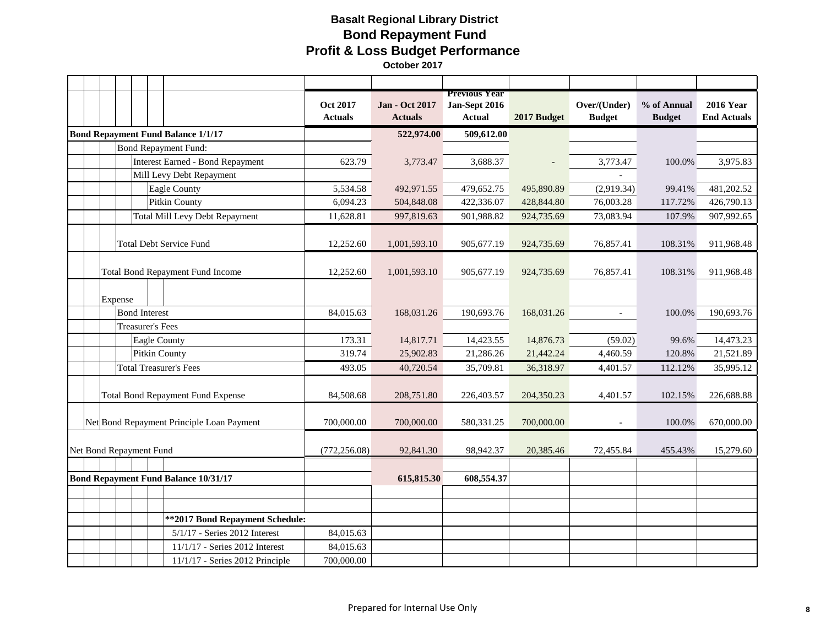## **Basalt Regional Library District Bond Repayment Fund Profit & Loss Budget Performance October 2017**

|                                             |                         |         |                         |                                           | Oct 2017<br><b>Actuals</b> | <b>Jan - Oct 2017</b><br><b>Actuals</b> | <b>Previous Year</b><br>Jan-Sept 2016<br><b>Actual</b> | 2017 Budget | Over/(Under)<br><b>Budget</b> | % of Annual<br><b>Budget</b> | <b>2016 Year</b><br><b>End Actuals</b> |
|---------------------------------------------|-------------------------|---------|-------------------------|-------------------------------------------|----------------------------|-----------------------------------------|--------------------------------------------------------|-------------|-------------------------------|------------------------------|----------------------------------------|
|                                             |                         |         |                         | <b>Bond Repayment Fund Balance 1/1/17</b> |                            | 522,974.00                              | 509,612.00                                             |             |                               |                              |                                        |
|                                             |                         |         |                         | <b>Bond Repayment Fund:</b>               |                            |                                         |                                                        |             |                               |                              |                                        |
|                                             |                         |         |                         | <b>Interest Earned - Bond Repayment</b>   | 623.79                     | 3,773.47                                | 3,688.37                                               |             | 3,773.47                      | 100.0%                       | 3,975.83                               |
|                                             |                         |         |                         | Mill Levy Debt Repayment                  |                            |                                         |                                                        |             |                               |                              |                                        |
|                                             |                         |         |                         | Eagle County                              | 5,534.58                   | 492,971.55                              | 479,652.75                                             | 495,890.89  | (2,919.34)                    | 99.41%                       | 481,202.52                             |
|                                             |                         |         |                         | Pitkin County                             | 6,094.23                   | 504,848.08                              | 422,336.07                                             | 428,844.80  | 76,003.28                     | 117.72%                      | 426,790.13                             |
|                                             |                         |         |                         | <b>Total Mill Levy Debt Repayment</b>     | 11,628.81                  | 997,819.63                              | 901,988.82                                             | 924,735.69  | 73,083.94                     | 107.9%                       | 907,992.65                             |
|                                             |                         |         |                         | <b>Total Debt Service Fund</b>            | 12,252.60                  | 1,001,593.10                            | 905,677.19                                             | 924,735.69  | 76,857.41                     | 108.31%                      | 911,968.48                             |
|                                             |                         |         |                         | Total Bond Repayment Fund Income          | 12,252.60                  | 1,001,593.10                            | 905,677.19                                             | 924,735.69  | 76,857.41                     | 108.31%                      | 911,968.48                             |
|                                             |                         | Expense |                         |                                           |                            |                                         |                                                        |             |                               |                              |                                        |
|                                             |                         |         | <b>Bond Interest</b>    |                                           | 84,015.63                  | 168,031.26                              | 190,693.76                                             | 168,031.26  |                               | 100.0%                       | 190,693.76                             |
|                                             |                         |         | <b>Treasurer's Fees</b> |                                           |                            |                                         |                                                        |             |                               |                              |                                        |
|                                             |                         |         | <b>Eagle County</b>     |                                           | 173.31                     | 14,817.71                               | 14,423.55                                              | 14,876.73   | (59.02)                       | 99.6%                        | 14,473.23                              |
|                                             |                         |         | <b>Pitkin County</b>    |                                           | 319.74                     | 25,902.83                               | 21,286.26                                              | 21,442.24   | 4,460.59                      | 120.8%                       | 21,521.89                              |
|                                             |                         |         |                         | <b>Total Treasurer's Fees</b>             | 493.05                     | 40,720.54                               | 35,709.81                                              | 36,318.97   | 4,401.57                      | 112.12%                      | 35,995.12                              |
|                                             |                         |         |                         | Total Bond Repayment Fund Expense         | 84,508.68                  | 208,751.80                              | 226,403.57                                             | 204,350.23  | 4,401.57                      | 102.15%                      | 226,688.88                             |
|                                             |                         |         |                         | Net Bond Repayment Principle Loan Payment | 700,000.00                 | 700,000.00                              | 580,331.25                                             | 700,000.00  |                               | 100.0%                       | 670,000.00                             |
|                                             | Net Bond Repayment Fund |         | (772, 256.08)           | 92,841.30                                 | 98,942.37                  | 20,385.46                               | 72,455.84                                              | 455.43%     | 15,279.60                     |                              |                                        |
|                                             |                         |         |                         |                                           |                            |                                         |                                                        |             |                               |                              |                                        |
| <b>Bond Repayment Fund Balance 10/31/17</b> |                         |         | 615,815.30              | 608,554.37                                |                            |                                         |                                                        |             |                               |                              |                                        |
|                                             |                         |         |                         |                                           |                            |                                         |                                                        |             |                               |                              |                                        |
|                                             |                         |         |                         |                                           |                            |                                         |                                                        |             |                               |                              |                                        |
|                                             |                         |         |                         | ** 2017 Bond Repayment Schedule:          |                            |                                         |                                                        |             |                               |                              |                                        |
|                                             |                         |         |                         | 5/1/17 - Series 2012 Interest             | 84,015.63                  |                                         |                                                        |             |                               |                              |                                        |
|                                             |                         |         |                         | 11/1/17 - Series 2012 Interest            | 84,015.63                  |                                         |                                                        |             |                               |                              |                                        |
|                                             |                         |         |                         | 11/1/17 - Series 2012 Principle           | 700,000.00                 |                                         |                                                        |             |                               |                              |                                        |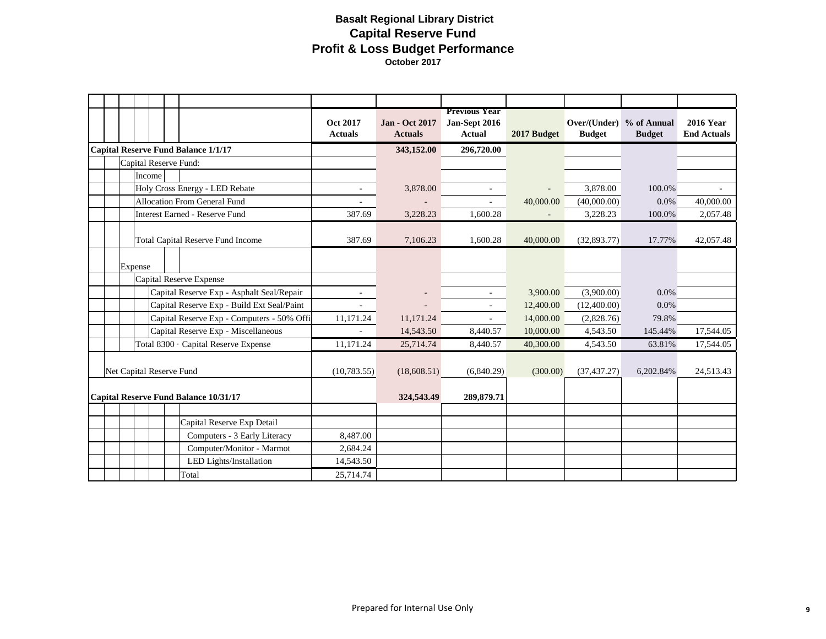## **Basalt Regional Library District Capital Reserve Fund Profit & Loss Budget Performance October 2017**

|                          |         |                                            | <b>Oct 2017</b><br><b>Actuals</b> | <b>Jan - Oct 2017</b><br><b>Actuals</b> | <b>Previous Year</b><br>Jan-Sept 2016<br><b>Actual</b> | 2017 Budget | Over/(Under) % of Annual<br><b>Budget</b> | <b>Budget</b> | <b>2016 Year</b><br><b>End Actuals</b> |
|--------------------------|---------|--------------------------------------------|-----------------------------------|-----------------------------------------|--------------------------------------------------------|-------------|-------------------------------------------|---------------|----------------------------------------|
|                          |         | <b>Capital Reserve Fund Balance 1/1/17</b> |                                   | 343,152.00                              | 296,720.00                                             |             |                                           |               |                                        |
|                          |         | Capital Reserve Fund:                      |                                   |                                         |                                                        |             |                                           |               |                                        |
|                          | Income  |                                            |                                   |                                         |                                                        |             |                                           |               |                                        |
|                          |         | Holy Cross Energy - LED Rebate             | $\overline{\phantom{a}}$          | 3,878.00                                | $\overline{\phantom{a}}$                               |             | 3,878.00                                  | 100.0%        |                                        |
|                          |         | <b>Allocation From General Fund</b>        |                                   |                                         |                                                        | 40,000.00   | (40,000.00)                               | $0.0\%$       | 40,000.00                              |
|                          |         | <b>Interest Earned - Reserve Fund</b>      | 387.69                            | 3,228.23                                | 1,600.28                                               |             | 3,228.23                                  | 100.0%        | 2,057.48                               |
|                          |         | Total Capital Reserve Fund Income          | 387.69                            | 7,106.23                                | 1,600.28                                               | 40,000.00   | (32,893.77)                               | 17.77%        | 42,057.48                              |
|                          | Expense |                                            |                                   |                                         |                                                        |             |                                           |               |                                        |
|                          |         | Capital Reserve Expense                    |                                   |                                         |                                                        |             |                                           |               |                                        |
|                          |         | Capital Reserve Exp - Asphalt Seal/Repair  | $\overline{\phantom{a}}$          |                                         | $\overline{\phantom{a}}$                               | 3,900.00    | (3,900.00)                                | $0.0\%$       |                                        |
|                          |         | Capital Reserve Exp - Build Ext Seal/Paint |                                   |                                         |                                                        | 12,400.00   | (12,400.00)                               | $0.0\%$       |                                        |
|                          |         | Capital Reserve Exp - Computers - 50% Offi | 11,171.24                         | 11,171.24                               |                                                        | 14,000.00   | (2,828.76)                                | 79.8%         |                                        |
|                          |         | Capital Reserve Exp - Miscellaneous        |                                   | 14,543.50                               | 8,440.57                                               | 10,000.00   | 4,543.50                                  | 145.44%       | 17,544.05                              |
|                          |         | Total 8300 · Capital Reserve Expense       | 11.171.24                         | 25,714.74                               | 8.440.57                                               | 40,300,00   | 4,543.50                                  | 63.81%        | 17,544.05                              |
| Net Capital Reserve Fund |         |                                            | (10, 783.55)                      | (18,608.51)                             | (6,840.29)                                             | (300.00)    | (37, 437, 27)                             | 6,202.84%     | 24,513.43                              |
|                          |         | Capital Reserve Fund Balance 10/31/17      |                                   | 324,543.49                              | 289,879.71                                             |             |                                           |               |                                        |
|                          |         | Capital Reserve Exp Detail                 |                                   |                                         |                                                        |             |                                           |               |                                        |
|                          |         | Computers - 3 Early Literacy               | 8,487.00                          |                                         |                                                        |             |                                           |               |                                        |
|                          |         | Computer/Monitor - Marmot                  | 2,684.24                          |                                         |                                                        |             |                                           |               |                                        |
|                          |         | LED Lights/Installation                    | 14,543.50                         |                                         |                                                        |             |                                           |               |                                        |
|                          |         | Total                                      | 25,714.74                         |                                         |                                                        |             |                                           |               |                                        |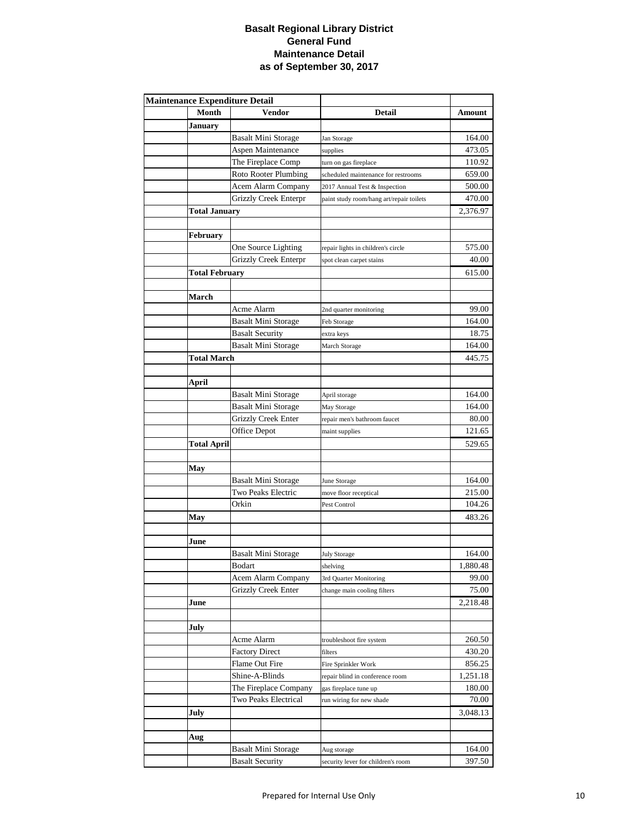### **Basalt Regional Library District General Fund Maintenance Detail as of September 30, 2017**

| <b>Maintenance Expenditure Detail</b> |                            |                                          |          |  |  |  |
|---------------------------------------|----------------------------|------------------------------------------|----------|--|--|--|
| Month                                 | Vendor                     | <b>Detail</b>                            | Amount   |  |  |  |
| <b>January</b>                        |                            |                                          |          |  |  |  |
|                                       | Basalt Mini Storage        | Jan Storage                              | 164.00   |  |  |  |
|                                       | Aspen Maintenance          | supplies                                 | 473.05   |  |  |  |
|                                       | The Fireplace Comp         | turn on gas fireplace                    | 110.92   |  |  |  |
|                                       | Roto Rooter Plumbing       | scheduled maintenance for restrooms      | 659.00   |  |  |  |
|                                       | Acem Alarm Company         | 2017 Annual Test & Inspection            | 500.00   |  |  |  |
|                                       | Grizzly Creek Enterpr      | paint study room/hang art/repair toilets | 470.00   |  |  |  |
| <b>Total January</b>                  |                            |                                          | 2,376.97 |  |  |  |
|                                       |                            |                                          |          |  |  |  |
| February                              |                            |                                          |          |  |  |  |
|                                       | One Source Lighting        | repair lights in children's circle       | 575.00   |  |  |  |
|                                       | Grizzly Creek Enterpr      | spot clean carpet stains                 | 40.00    |  |  |  |
| <b>Total February</b>                 |                            |                                          | 615.00   |  |  |  |
|                                       |                            |                                          |          |  |  |  |
| March                                 |                            |                                          |          |  |  |  |
|                                       | Acme Alarm                 | 2nd quarter monitoring                   | 99.00    |  |  |  |
|                                       | <b>Basalt Mini Storage</b> | Feb Storage                              | 164.00   |  |  |  |
|                                       | <b>Basalt Security</b>     | extra keys                               | 18.75    |  |  |  |
|                                       | <b>Basalt Mini Storage</b> | March Storage                            | 164.00   |  |  |  |
| <b>Total March</b>                    |                            |                                          | 445.75   |  |  |  |
|                                       |                            |                                          |          |  |  |  |
| April                                 |                            |                                          |          |  |  |  |
|                                       | Basalt Mini Storage        | April storage                            | 164.00   |  |  |  |
|                                       | <b>Basalt Mini Storage</b> | May Storage                              | 164.00   |  |  |  |
|                                       | <b>Grizzly Creek Enter</b> | repair men's bathroom faucet             | 80.00    |  |  |  |
|                                       | Office Depot               | maint supplies                           | 121.65   |  |  |  |
| <b>Total April</b>                    |                            |                                          | 529.65   |  |  |  |
|                                       |                            |                                          |          |  |  |  |
| May                                   |                            |                                          |          |  |  |  |
|                                       | <b>Basalt Mini Storage</b> | June Storage                             | 164.00   |  |  |  |
|                                       | Two Peaks Electric         | move floor receptical                    | 215.00   |  |  |  |
|                                       | Orkin                      | Pest Control                             | 104.26   |  |  |  |
| May                                   |                            |                                          | 483.26   |  |  |  |
|                                       |                            |                                          |          |  |  |  |
| June                                  |                            |                                          |          |  |  |  |
|                                       | <b>Basalt Mini Storage</b> | <b>July Storage</b>                      | 164.00   |  |  |  |
|                                       | Bodart                     | shelving                                 | 1,880.48 |  |  |  |
|                                       | Acem Alarm Company         | 3rd Quarter Monitoring                   | 99.00    |  |  |  |
|                                       | <b>Grizzly Creek Enter</b> | change main cooling filters              | 75.00    |  |  |  |
| June                                  |                            |                                          | 2,218.48 |  |  |  |
|                                       |                            |                                          |          |  |  |  |
| July                                  |                            |                                          |          |  |  |  |
|                                       | Acme Alarm                 | troubleshoot fire system                 | 260.50   |  |  |  |
|                                       | <b>Factory Direct</b>      | filters                                  | 430.20   |  |  |  |
|                                       | Flame Out Fire             | Fire Sprinkler Work                      | 856.25   |  |  |  |
|                                       | Shine-A-Blinds             | repair blind in conference room          | 1,251.18 |  |  |  |
|                                       | The Fireplace Company      | gas fireplace tune up                    | 180.00   |  |  |  |
|                                       | Two Peaks Electrical       | run wiring for new shade                 | 70.00    |  |  |  |
| July                                  |                            |                                          | 3,048.13 |  |  |  |
|                                       |                            |                                          |          |  |  |  |
| Aug                                   |                            |                                          |          |  |  |  |
|                                       | <b>Basalt Mini Storage</b> | Aug storage                              | 164.00   |  |  |  |
|                                       | <b>Basalt Security</b>     | security lever for children's room       | 397.50   |  |  |  |
|                                       |                            |                                          |          |  |  |  |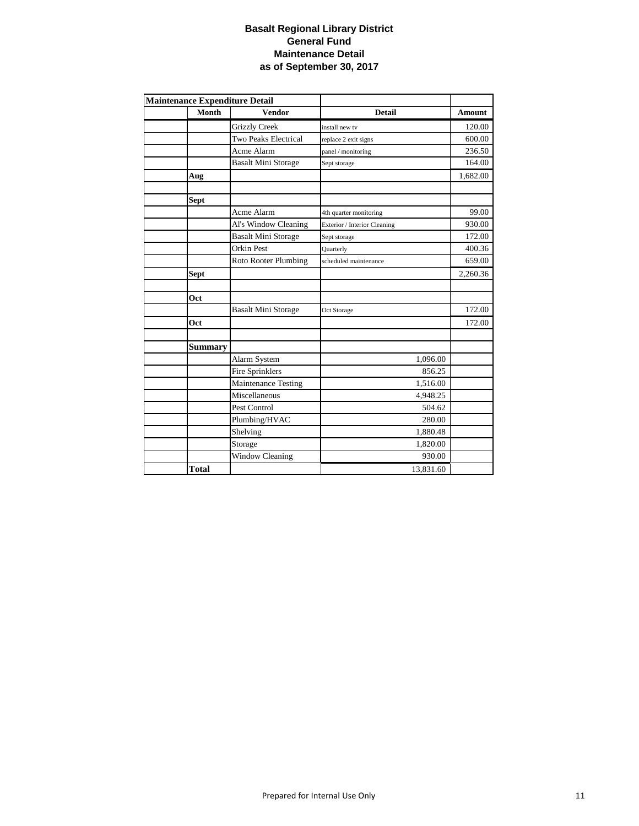### **Basalt Regional Library District General Fund Maintenance Detail as of September 30, 2017**

|                | <b>Maintenance Expenditure Detail</b> |                              |               |
|----------------|---------------------------------------|------------------------------|---------------|
| Month          | <b>Vendor</b>                         | <b>Detail</b>                | <b>Amount</b> |
|                | <b>Grizzly Creek</b>                  | install new tv               | 120.00        |
|                | <b>Two Peaks Electrical</b>           | replace 2 exit signs         | 600.00        |
|                | Acme Alarm                            | panel / monitoring           | 236.50        |
|                | <b>Basalt Mini Storage</b>            | Sept storage                 | 164.00        |
| Aug            |                                       |                              | 1,682.00      |
|                |                                       |                              |               |
| <b>Sept</b>    |                                       |                              |               |
|                | Acme Alarm                            | 4th quarter monitoring       | 99.00         |
|                | Al's Window Cleaning                  | Exterior / Interior Cleaning | 930.00        |
|                | <b>Basalt Mini Storage</b>            | Sept storage                 | 172.00        |
|                | <b>Orkin Pest</b>                     | Quarterly                    | 400.36        |
|                | Roto Rooter Plumbing                  | scheduled maintenance        | 659.00        |
| <b>Sept</b>    |                                       |                              | 2,260.36      |
|                |                                       |                              |               |
| <b>Oct</b>     |                                       |                              |               |
|                | <b>Basalt Mini Storage</b>            | Oct Storage                  | 172.00        |
| <b>Oct</b>     |                                       |                              | 172.00        |
|                |                                       |                              |               |
| <b>Summary</b> |                                       |                              |               |
|                | Alarm System                          | 1,096.00                     |               |
|                | <b>Fire Sprinklers</b>                | 856.25                       |               |
|                | <b>Maintenance Testing</b>            | 1,516.00                     |               |
|                | Miscellaneous                         | 4,948.25                     |               |
|                | Pest Control                          | 504.62                       |               |
|                | Plumbing/HVAC                         | 280.00                       |               |
|                | Shelving                              | 1,880.48                     |               |
|                | Storage                               | 1,820.00                     |               |
|                | Window Cleaning                       | 930.00                       |               |
| <b>Total</b>   |                                       | 13,831.60                    |               |